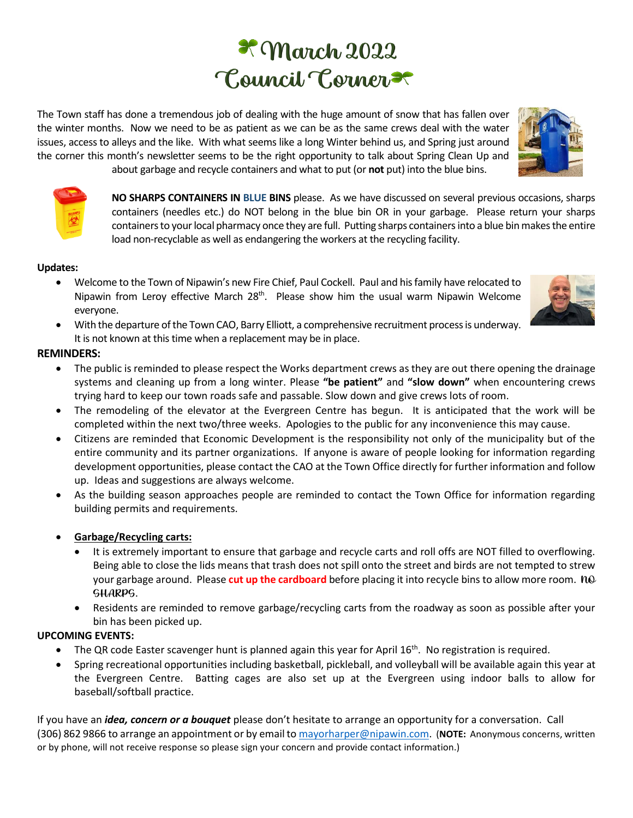# $\mathcal{R}$  March 2022 Council Corner

The Town staff has done a tremendous job o[f de](https://commons.wikimedia.org/wiki/File:Tux_Paint_shamrock.svg)aling with the huge amount o[f snow](https://commons.wikimedia.org/wiki/File:Tux_Paint_shamrock.svg) that has fallen over the winter months. Now we need to be as patient as we can be as the same [crew](https://commons.wikimedia.org/wiki/File:Tux_Paint_shamrock.svg)s deal with the water issues, access to alleys and the like. With what seems like a long Winter behind us, and Spring just around the corner this month's newsletter seems to be the right opportunity to talk about Spring Clean Up and

about garbage and recycle containers and what to put (or **not** put) into the blue bins.

**NO SHARPS CONTAINERS IN BLUE BINS** please. As we have discussed on several previous occasions, sharps containers (needles etc.) do NOT belong in the blue bin OR in your garbage. Please return your sharps containers to your local pharmacy once they are full. Putting sharps containers into a blue bin make[s the en](https://creativecommons.org/licenses/by-sa/3.0/)tire load non-recyclable as well as endangering the workers at the recycling facility.

# **Updates:**

- Welcome to the Town of Nipawin's new Fire Chief, Paul Cockell. Paul an[d his](https://creativecommons.org/licenses/by-sa/3.0/) family have relocated to Nipawin from Leroy effective March  $28<sup>th</sup>$ . Please show him the us[ual w](https://creativecommons.org/licenses/by-sa/3.0/)arm Nipawin Welcome everyone.
- With the departure of the Town CAO, [Barr](https://creativecommons.org/licenses/by-sa/3.0/)y Elliott, a comprehensive recruitment process is underway. It is not known at this time when a re[plac](https://creativecommons.org/licenses/by-sa/3.0/)ement may be in place.

### **REMINDERS:**

- The public is reminded to please res[pec](https://creativecommons.org/licenses/by-sa/3.0/)t the Works department crews as they are out there opening the drainage systems and cleaning up from a long winter. Please **"be patient"** and **"slow down"** when encountering crews trying hard to keep our town roads safe and passable. Slow down and give crews lots of room.
- The remodeling of the elevator at the Evergreen Centre has begun. It is anticipated that the work will be completed within the next two/three weeks. Apologies to the public for any inconvenience this may cause.
- Citizens are reminded that Economic Development is the responsibility not only of the municipality but of the entire community and its partner organizations. If anyone is aware of people looking for information regarding development opportunities, please contact the CAO at the Town Office directly for further information and follow up. Ideas and suggestions are always welcome.
- As the building season approaches people are reminded to contact the Town Office for information regarding building permits and requirements.

# • **Garbage/Recycling carts:**

- It is extremely important to ensure that garbage and recycle carts and roll offs are NOT filled to overflowing. Being able to close the lids means that trash does not spill onto the street and birds are not tempted to strew your garbage around. Please **cut up the cardboard** before placing it into recycle bins to allow more room. NO SHARPS.
- Residents are reminded to remove garbage/recycling carts from the roadway as soon as possible after your bin has been picked up.

# **UPCOMING EVENTS:**

- The QR code Easter scavenger hunt is planned again this year for April  $16<sup>th</sup>$ . No registration is required.
- Spring recreational opportunities including basketball, pickleball, and volleyball will be available again this year at the Evergreen Centre. Batting cages are also set up at the Evergreen using indoor balls to allow for baseball/softball practice.

If you have an *idea, concern or a bouquet* please don't hesitate to arrange an opportunity for a conversation. Call (306) 862 9866 to arrange an appointment or by email to [mayorharper@nipawin.com.](mailto:mayorharper@nipawin.com) (**NOTE:** Anonymous concerns, written or by phone, will not receive response so please sign your concern and provide contact information.)